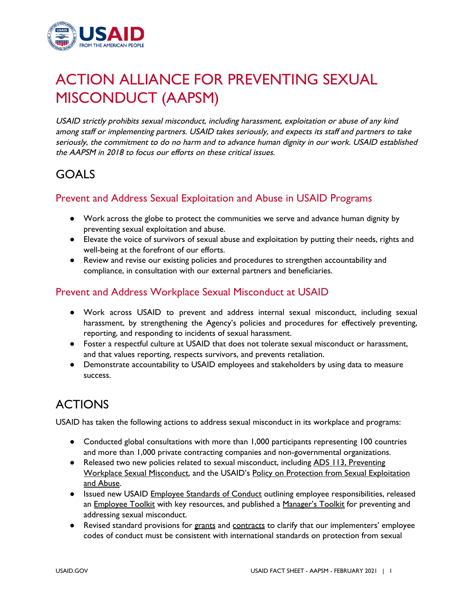

# ACTION ALLIANCE FOR PREVENTING SEXUAL MISCONDUCT (AAPSM)

USAID strictly prohibits sexual misconduct, including harassment, exploitation or abuse of any kind among staff or implementing partners. USAID takes seriously, and expects its staff and partners to take seriously, the commitment to do no harm and to advance human dignity in our work. USAID established the AAPSM in 2018 to focus our efforts on these critical issues.

# GOALS

#### Prevent and Address Sexual Exploitation and Abuse in USAID Programs

- Work across the globe to protect the communities we serve and advance human dignity by preventing sexual exploitation and abuse.
- Elevate the voice of survivors of sexual abuse and exploitation by putting their needs, rights and well-being at the forefront of our efforts.
- Review and revise our existing policies and procedures to strengthen accountability and compliance, in consultation with our external partners and beneficiaries.

#### Prevent and Address Workplace Sexual Misconduct at USAID

- Work across USAID to prevent and address internal sexual misconduct, including sexual harassment, by strengthening the Agency's policies and procedures for effectively preventing, reporting, and responding to incidents of sexual harassment.
- Foster a respectful culture at USAID that does not tolerate sexual misconduct or harassment, and that values reporting, respects survivors, and prevents retaliation.
- Demonstrate accountability to USAID employees and stakeholders by using data to measure success.

# ACTIONS

USAID has taken the following actions to address sexual misconduct in its workplace and programs:

- Conducted global consultations with more than 1,000 participants representing 100 countries and more than 1,000 private contracting companies and non-governmental organizations.
- Released two new policies related to sexual misconduct, including ADS 113, [Preventing](https://www.usaid.gov/ads/policy/100/113) Workplace Sexual [Misconduct,](https://www.usaid.gov/ads/policy/100/113) and the USAID's Policy on Protection from Sexual [Exploitation](https://www.usaid.gov/PreventingSexualMisconduct/psea-policy) and [Abuse](https://www.usaid.gov/PreventingSexualMisconduct/psea-policy).
- Issued new USAID Employee [Standards](https://www.usaid.gov/PreventingSexualMisconduct/Managers/employee-standards-conduct) of Conduct outlining employee responsibilities, released an [Employee](https://www.usaid.gov/PreventingSexualMisconduct/Employees) Toolkit with key resources, and published a [Manager's](https://www.usaid.gov/PreventingSexualMisconduct/Managers) Toolkit for preventing and addressing sexual misconduct.
- Revised standard provisions for [grants](https://www.usaid.gov/ads/policy/300/303) and [contracts](https://www.usaid.gov/work-usaid/aapds-cibs/aapd-18-03) to clarify that our implementers' employee codes of conduct must be consistent with international standards on protection from sexual